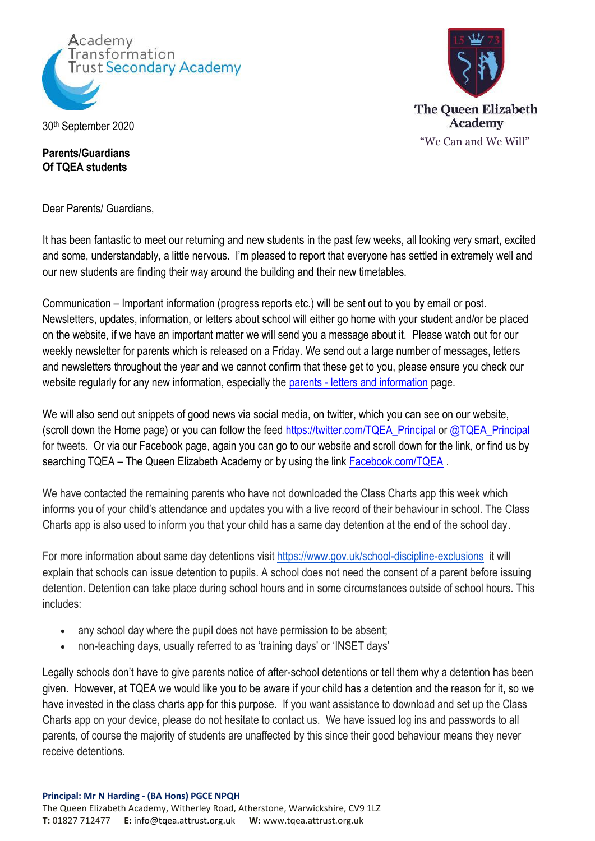





## **Parents/Guardians Of TQEA students**

Dear Parents/ Guardians,

It has been fantastic to meet our returning and new students in the past few weeks, all looking very smart, excited and some, understandably, a little nervous. I'm pleased to report that everyone has settled in extremely well and our new students are finding their way around the building and their new timetables.

Communication – Important information (progress reports etc.) will be sent out to you by email or post. Newsletters, updates, information, or letters about school will either go home with your student and/or be placed on the website, if we have an important matter we will send you a message about it. Please watch out for our weekly newsletter for parents which is released on a Friday. We send out a large number of messages, letters and newsletters throughout the year and we cannot confirm that these get to you, please ensure you check our website regularly for any new information, especially the parents - [letters and information](http://tqea.attrust.org.uk/parents/letters-to-parents/) page.

We will also send out snippets of good news via social media, on twitter, which you can see on our website, (scroll down the Home page) or you can follow the feed [https://twitter.com/TQEA\\_Principal](https://twitter.com/TQEA_Principal) or @TQEA\_Principal for tweets. Or via our Facebook page, again you can go to our website and scroll down for the link, or find us by searching TQEA – The Queen Elizabeth Academy or by using the link [Facebook.com/TQEA](https://www.facebook.com/groups/1769515883351228/).

We have contacted the remaining parents who have not downloaded the Class Charts app this week which informs you of your child's attendance and updates you with a live record of their behaviour in school. The Class Charts app is also used to inform you that your child has a same day detention at the end of the school day.

For more information about same day detentions visit<https://www.gov.uk/school-discipline-exclusions>it will explain that schools can issue detention to pupils. A school does not need the consent of a parent before issuing detention. Detention can take place during school hours and in some circumstances outside of school hours. This includes:

- any school day where the pupil does not have permission to be absent;
- non-teaching days, usually referred to as 'training days' or 'INSET days'

Legally schools don't have to give parents notice of after-school detentions or tell them why a detention has been given. However, at TQEA we would like you to be aware if your child has a detention and the reason for it, so we have invested in the class charts app for this purpose. If you want assistance to download and set up the Class Charts app on your device, please do not hesitate to contact us. We have issued log ins and passwords to all parents, of course the majority of students are unaffected by this since their good behaviour means they never receive detentions.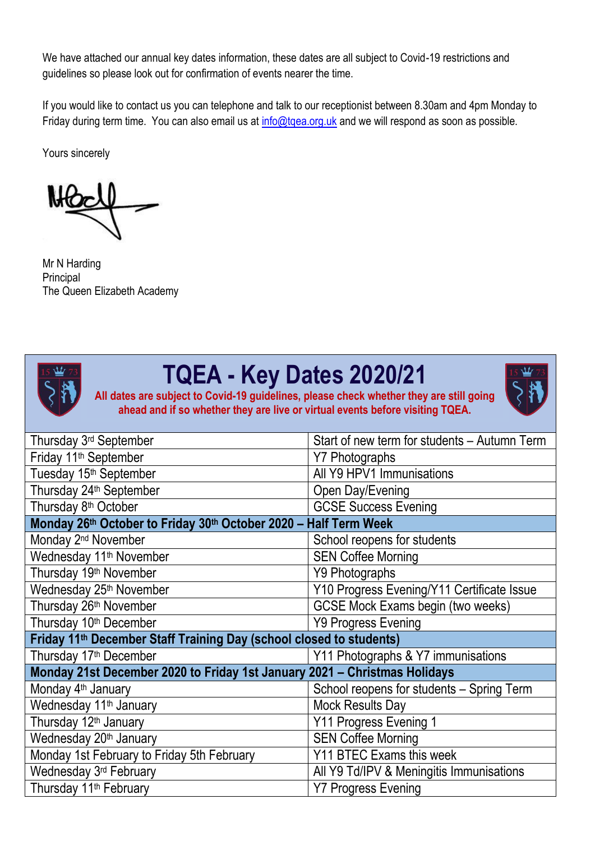We have attached our annual key dates information, these dates are all subject to Covid-19 restrictions and guidelines so please look out for confirmation of events nearer the time.

If you would like to contact us you can telephone and talk to our receptionist between 8.30am and 4pm Monday to Friday during term time. You can also email us at info@tgea.org.uk and we will respond as soon as possible.

Yours sincerely

Mr N Harding Principal The Queen Elizabeth Academy



## **TQEA - Key Dates 2020/21**

**All dates are subject to Covid-19 guidelines, please check whether they are still going ahead and if so whether they are live or virtual events before visiting TQEA.**



| Thursday 3 <sup>rd</sup> September                                              | Start of new term for students – Autumn Term |  |
|---------------------------------------------------------------------------------|----------------------------------------------|--|
| Friday 11 <sup>th</sup> September                                               | <b>Y7 Photographs</b>                        |  |
| Tuesday 15 <sup>th</sup> September                                              | All Y9 HPV1 Immunisations                    |  |
| Thursday 24 <sup>th</sup> September                                             | Open Day/Evening                             |  |
| Thursday 8 <sup>th</sup> October                                                | <b>GCSE Success Evening</b>                  |  |
| Monday 26th October to Friday 30th October 2020 - Half Term Week                |                                              |  |
| Monday 2 <sup>nd</sup> November                                                 | School reopens for students                  |  |
| Wednesday 11 <sup>th</sup> November                                             | <b>SEN Coffee Morning</b>                    |  |
| Thursday 19 <sup>th</sup> November                                              | Y9 Photographs                               |  |
| Wednesday 25 <sup>th</sup> November                                             | Y10 Progress Evening/Y11 Certificate Issue   |  |
| Thursday 26 <sup>th</sup> November                                              | <b>GCSE Mock Exams begin (two weeks)</b>     |  |
| Thursday 10 <sup>th</sup> December                                              | Y9 Progress Evening                          |  |
| Friday 11 <sup>th</sup> December Staff Training Day (school closed to students) |                                              |  |
| Thursday 17 <sup>th</sup> December                                              | Y11 Photographs & Y7 immunisations           |  |
| Monday 21st December 2020 to Friday 1st January 2021 - Christmas Holidays       |                                              |  |
| Monday 4 <sup>th</sup> January                                                  | School reopens for students - Spring Term    |  |
| Wednesday 11 <sup>th</sup> January                                              | Mock Results Day                             |  |
| Thursday 12 <sup>th</sup> January                                               | Y11 Progress Evening 1                       |  |
| Wednesday 20 <sup>th</sup> January                                              | <b>SEN Coffee Morning</b>                    |  |
| Monday 1st February to Friday 5th February                                      | Y11 BTEC Exams this week                     |  |
| Wednesday 3 <sup>rd</sup> February                                              | All Y9 Td/IPV & Meningitis Immunisations     |  |
| Thursday 11 <sup>th</sup> February                                              | <b>Y7 Progress Evening</b>                   |  |